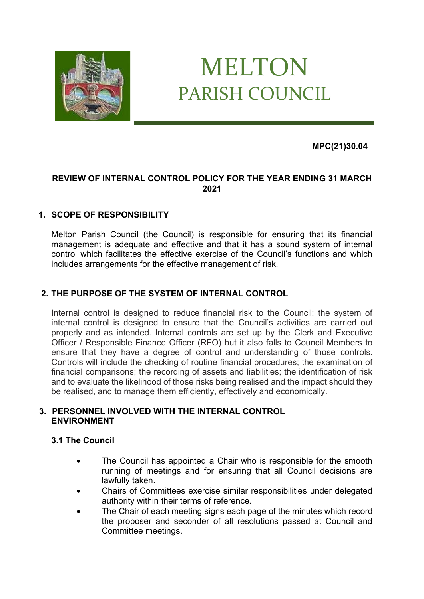

# MELTON PARISH COUNCIL

**MPC(21)30.04**

# **REVIEW OF INTERNAL CONTROL POLICY FOR THE YEAR ENDING 31 MARCH 2021**

# **1. SCOPE OF RESPONSIBILITY**

Melton Parish Council (the Council) is responsible for ensuring that its financial management is adequate and effective and that it has a sound system of internal control which facilitates the effective exercise of the Council's functions and which includes arrangements for the effective management of risk.

## **2. THE PURPOSE OF THE SYSTEM OF INTERNAL CONTROL**

Internal control is designed to reduce financial risk to the Council; the system of internal control is designed to ensure that the Council's activities are carried out properly and as intended. Internal controls are set up by the Clerk and Executive Officer / Responsible Finance Officer (RFO) but it also falls to Council Members to ensure that they have a degree of control and understanding of those controls. Controls will include the checking of routine financial procedures; the examination of financial comparisons; the recording of assets and liabilities; the identification of risk and to evaluate the likelihood of those risks being realised and the impact should they be realised, and to manage them efficiently, effectively and economically.

#### **3. PERSONNEL INVOLVED WITH THE INTERNAL CONTROL ENVIRONMENT**

## **3.1 The Council**

- The Council has appointed a Chair who is responsible for the smooth running of meetings and for ensuring that all Council decisions are lawfully taken.
- Chairs of Committees exercise similar responsibilities under delegated authority within their terms of reference.
- The Chair of each meeting signs each page of the minutes which record the proposer and seconder of all resolutions passed at Council and Committee meetings.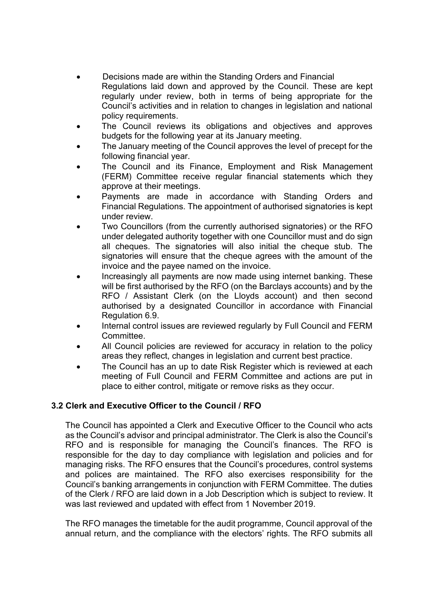• Decisions made are within the Standing Orders and Financial Regulations laid down and approved by the Council. These are kept regularly under review, both in terms of being appropriate for the Council's activities and in relation to changes in legislation and national

policy requirements.

- The Council reviews its obligations and objectives and approves budgets for the following year at its January meeting.
- The January meeting of the Council approves the level of precept for the following financial year.
- The Council and its Finance, Employment and Risk Management (FERM) Committee receive regular financial statements which they approve at their meetings.
- Payments are made in accordance with Standing Orders and Financial Regulations. The appointment of authorised signatories is kept under review.
- Two Councillors (from the currently authorised signatories) or the RFO under delegated authority together with one Councillor must and do sign all cheques. The signatories will also initial the cheque stub. The signatories will ensure that the cheque agrees with the amount of the invoice and the payee named on the invoice.
- Increasingly all payments are now made using internet banking. These will be first authorised by the RFO (on the Barclays accounts) and by the RFO / Assistant Clerk (on the Lloyds account) and then second authorised by a designated Councillor in accordance with Financial Regulation 6.9.
- Internal control issues are reviewed regularly by Full Council and FERM **Committee**
- All Council policies are reviewed for accuracy in relation to the policy areas they reflect, changes in legislation and current best practice.
- The Council has an up to date Risk Register which is reviewed at each meeting of Full Council and FERM Committee and actions are put in place to either control, mitigate or remove risks as they occur.

## **3.2 Clerk and Executive Officer to the Council / RFO**

The Council has appointed a Clerk and Executive Officer to the Council who acts as the Council's advisor and principal administrator. The Clerk is also the Council's RFO and is responsible for managing the Council's finances. The RFO is responsible for the day to day compliance with legislation and policies and for managing risks. The RFO ensures that the Council's procedures, control systems and polices are maintained. The RFO also exercises responsibility for the Council's banking arrangements in conjunction with FERM Committee. The duties of the Clerk / RFO are laid down in a Job Description which is subject to review. It was last reviewed and updated with effect from 1 November 2019.

The RFO manages the timetable for the audit programme, Council approval of the annual return, and the compliance with the electors' rights. The RFO submits all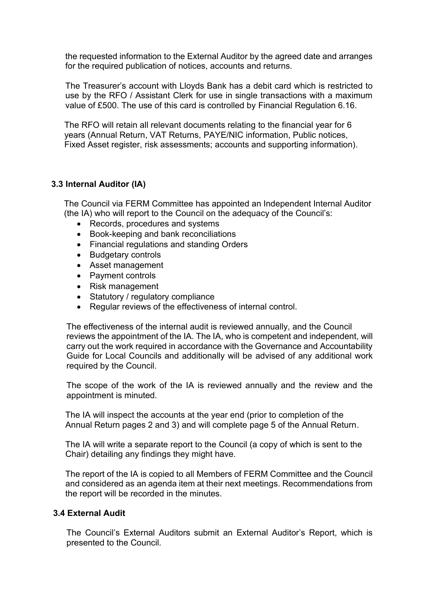the requested information to the External Auditor by the agreed date and arranges for the required publication of notices, accounts and returns.

The Treasurer's account with Lloyds Bank has a debit card which is restricted to use by the RFO / Assistant Clerk for use in single transactions with a maximum value of £500. The use of this card is controlled by Financial Regulation 6.16.

The RFO will retain all relevant documents relating to the financial year for 6 years (Annual Return, VAT Returns, PAYE/NIC information, Public notices, Fixed Asset register, risk assessments; accounts and supporting information).

#### **3.3 Internal Auditor (IA)**

The Council via FERM Committee has appointed an Independent Internal Auditor (the IA) who will report to the Council on the adequacy of the Council's:

- Records, procedures and systems
- Book-keeping and bank reconciliations
- Financial regulations and standing Orders
- Budgetary controls
- Asset management
- Payment controls
- Risk management
- Statutory / regulatory compliance
- Regular reviews of the effectiveness of internal control.

The effectiveness of the internal audit is reviewed annually, and the Council reviews the appointment of the IA. The IA, who is competent and independent, will carry out the work required in accordance with the Governance and Accountability Guide for Local Councils and additionally will be advised of any additional work required by the Council.

The scope of the work of the IA is reviewed annually and the review and the appointment is minuted.

The IA will inspect the accounts at the year end (prior to completion of the Annual Return pages 2 and 3) and will complete page 5 of the Annual Return.

The IA will write a separate report to the Council (a copy of which is sent to the Chair) detailing any findings they might have.

The report of the IA is copied to all Members of FERM Committee and the Council and considered as an agenda item at their next meetings. Recommendations from the report will be recorded in the minutes.

#### **3.4 External Audit**

The Council's External Auditors submit an External Auditor's Report, which is presented to the Council.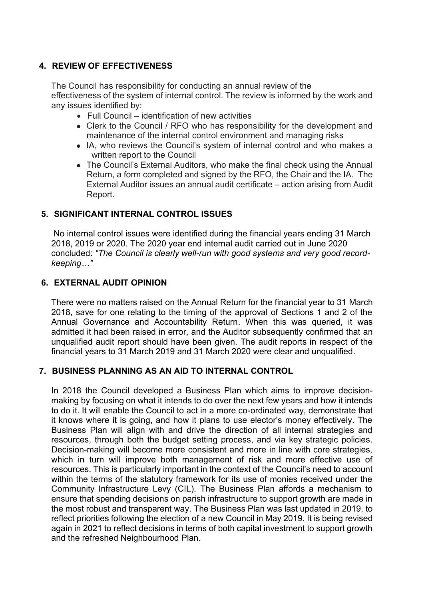## **4. REVIEW OF EFFECTIVENESS**

The Council has responsibility for conducting an annual review of the effectiveness of the system of internal control. The review is informed by the work and any issues identified by:

- Full Council identification of new activities
- Clerk to the Council / RFO who has responsibility for the development and maintenance of the internal control environment and managing risks
- ⚫ IA, who reviews the Council's system of internal control and who makes a written report to the Council
- The Council's External Auditors, who make the final check using the Annual Return, a form completed and signed by the RFO, the Chair and the IA. The External Auditor issues an annual audit certificate – action arising from Audit Report.

# **5. SIGNIFICANT INTERNAL CONTROL ISSUES**

No internal control issues were identified during the financial years ending 31 March 2018, 2019 or 2020. The 2020 year end internal audit carried out in June 2020 concluded: *"The Council is clearly well-run with good systems and very good recordkeeping…"*

# **6. EXTERNAL AUDIT OPINION**

There were no matters raised on the Annual Return for the financial year to 31 March 2018, save for one relating to the timing of the approval of Sections 1 and 2 of the Annual Governance and Accountability Return. When this was queried, it was admitted it had been raised in error, and the Auditor subsequently confirmed that an unqualified audit report should have been given. The audit reports in respect of the financial years to 31 March 2019 and 31 March 2020 were clear and unqualified.

## **7. BUSINESS PLANNING AS AN AID TO INTERNAL CONTROL**

In 2018 the Council developed a Business Plan which aims to improve decisionmaking by focusing on what it intends to do over the next few years and how it intends to do it. It will enable the Council to act in a more co-ordinated way, demonstrate that it knows where it is going, and how it plans to use elector's money effectively. The Business Plan will align with and drive the direction of all internal strategies and resources, through both the budget setting process, and via key strategic policies. Decision-making will become more consistent and more in line with core strategies, which in turn will improve both management of risk and more effective use of resources. This is particularly important in the context of the Council's need to account within the terms of the statutory framework for its use of monies received under the Community Infrastructure Levy (CIL). The Business Plan affords a mechanism to ensure that spending decisions on parish infrastructure to support growth are made in the most robust and transparent way. The Business Plan was last updated in 2019, to reflect priorities following the election of a new Council in May 2019. It is being revised again in 2021 to reflect decisions in terms of both capital investment to support growth and the refreshed Neighbourhood Plan.